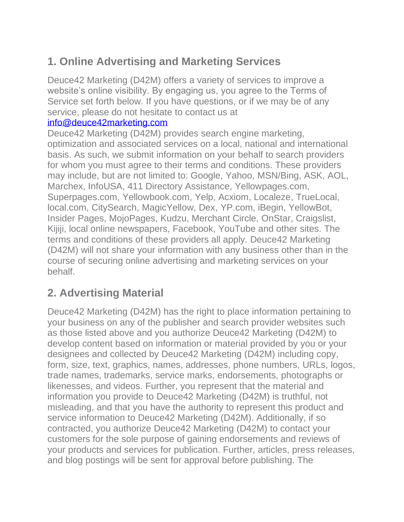## **1. Online Advertising and Marketing Services**

Deuce42 Marketing (D42M) offers a variety of services to improve a website's online visibility. By engaging us, you agree to the Terms of Service set forth below. If you have questions, or if we may be of any service, please do not hesitate to contact us at

#### [info@deuce42marketing.com](mailto:info@deuce42marketing.com?subject=Questions%20Regarding%20Terms%20&%20Coniditions%20&%20Coniditions&%20Conidition&%20Coniditio&%20Coniditi&%20Conidit&%20Conidi&%20Conid&%20Coni&%20Con&%20Co&%20C&%20&)

Deuce42 Marketing (D42M) provides search engine marketing, optimization and associated services on a local, national and international basis. As such, we submit information on your behalf to search providers for whom you must agree to their terms and conditions. These providers may include, but are not limited to: Google, Yahoo, MSN/Bing, ASK, AOL, Marchex, InfoUSA, 411 Directory Assistance, Yellowpages.com, Superpages.com, Yellowbook.com, Yelp, Acxiom, Localeze, TrueLocal, local.com, CitySearch, MagicYellow, Dex, YP.com, iBegin, YellowBot, Insider Pages, MojoPages, Kudzu, Merchant Circle, OnStar, Craigslist, Kijiji, local online newspapers, Facebook, YouTube and other sites. The terms and conditions of these providers all apply. Deuce42 Marketing (D42M) will not share your information with any business other than in the course of securing online advertising and marketing services on your behalf.

#### **2. Advertising Material**

Deuce42 Marketing (D42M) has the right to place information pertaining to your business on any of the publisher and search provider websites such as those listed above and you authorize Deuce42 Marketing (D42M) to develop content based on information or material provided by you or your designees and collected by Deuce42 Marketing (D42M) including copy, form, size, text, graphics, names, addresses, phone numbers, URLs, logos, trade names, trademarks, service marks, endorsements, photographs or likenesses, and videos. Further, you represent that the material and information you provide to Deuce42 Marketing (D42M) is truthful, not misleading, and that you have the authority to represent this product and service information to Deuce42 Marketing (D42M). Additionally, if so contracted, you authorize Deuce42 Marketing (D42M) to contact your customers for the sole purpose of gaining endorsements and reviews of your products and services for publication. Further, articles, press releases, and blog postings will be sent for approval before publishing. The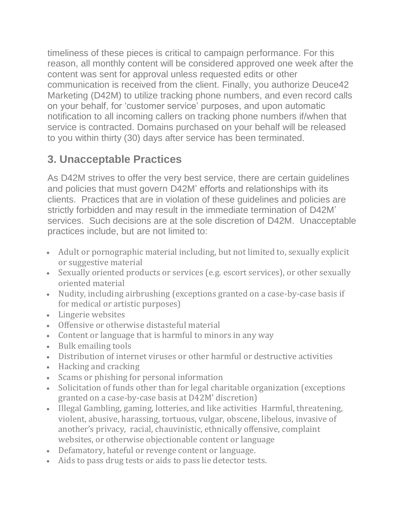timeliness of these pieces is critical to campaign performance. For this reason, all monthly content will be considered approved one week after the content was sent for approval unless requested edits or other communication is received from the client. Finally, you authorize Deuce42 Marketing (D42M) to utilize tracking phone numbers, and even record calls on your behalf, for 'customer service' purposes, and upon automatic notification to all incoming callers on tracking phone numbers if/when that service is contracted. Domains purchased on your behalf will be released to you within thirty (30) days after service has been terminated.

#### **3. Unacceptable Practices**

As D42M strives to offer the very best service, there are certain guidelines and policies that must govern D42M' efforts and relationships with its clients. Practices that are in violation of these guidelines and policies are strictly forbidden and may result in the immediate termination of D42M' services. Such decisions are at the sole discretion of D42M. Unacceptable practices include, but are not limited to:

- Adult or pornographic material including, but not limited to, sexually explicit or suggestive material
- Sexually oriented products or services (e.g. escort services), or other sexually oriented material
- Nudity, including airbrushing (exceptions granted on a case-by-case basis if for medical or artistic purposes)
- Lingerie websites
- Offensive or otherwise distasteful material
- Content or language that is harmful to minors in any way
- Bulk emailing tools
- Distribution of internet viruses or other harmful or destructive activities
- Hacking and cracking
- Scams or phishing for personal information
- Solicitation of funds other than for legal charitable organization (exceptions granted on a case-by-case basis at D42M' discretion)
- Illegal Gambling, gaming, lotteries, and like activities Harmful, threatening, violent, abusive, harassing, tortuous, vulgar, obscene, libelous, invasive of another's privacy, racial, chauvinistic, ethnically offensive, complaint websites, or otherwise objectionable content or language
- Defamatory, hateful or revenge content or language.
- Aids to pass drug tests or aids to pass lie detector tests.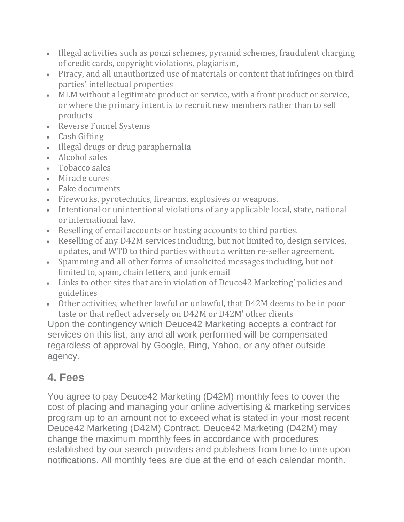- Illegal activities such as ponzi schemes, pyramid schemes, fraudulent charging of credit cards, copyright violations, plagiarism,
- Piracy, and all unauthorized use of materials or content that infringes on third parties' intellectual properties
- MLM without a legitimate product or service, with a front product or service, or where the primary intent is to recruit new members rather than to sell products
- Reverse Funnel Systems
- Cash Gifting
- Illegal drugs or drug paraphernalia
- Alcohol sales
- Tobacco sales
- Miracle cures
- Fake documents
- Fireworks, pyrotechnics, firearms, explosives or weapons.
- Intentional or unintentional violations of any applicable local, state, national or international law.
- Reselling of email accounts or hosting accounts to third parties.
- Reselling of any D42M services including, but not limited to, design services, updates, and WTD to third parties without a written re-seller agreement.
- Spamming and all other forms of unsolicited messages including, but not limited to, spam, chain letters, and junk email
- Links to other sites that are in violation of Deuce42 Marketing' policies and guidelines
- Other activities, whether lawful or unlawful, that D42M deems to be in poor taste or that reflect adversely on D42M or D42M' other clients

Upon the contingency which Deuce42 Marketing accepts a contract for services on this list, any and all work performed will be compensated regardless of approval by Google, Bing, Yahoo, or any other outside agency.

## **4. Fees**

You agree to pay Deuce42 Marketing (D42M) monthly fees to cover the cost of placing and managing your online advertising & marketing services program up to an amount not to exceed what is stated in your most recent Deuce42 Marketing (D42M) Contract. Deuce42 Marketing (D42M) may change the maximum monthly fees in accordance with procedures established by our search providers and publishers from time to time upon notifications. All monthly fees are due at the end of each calendar month.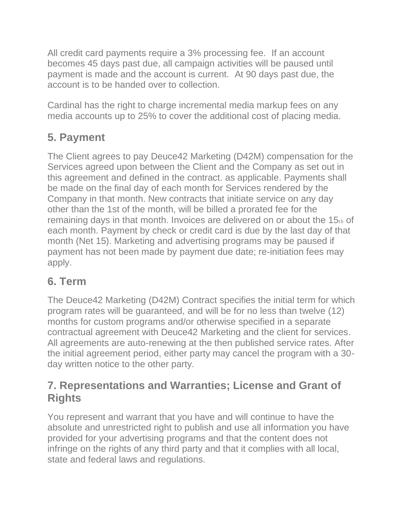All credit card payments require a 3% processing fee. If an account becomes 45 days past due, all campaign activities will be paused until payment is made and the account is current. At 90 days past due, the account is to be handed over to collection.

Cardinal has the right to charge incremental media markup fees on any media accounts up to 25% to cover the additional cost of placing media.

#### **5. Payment**

The Client agrees to pay Deuce42 Marketing (D42M) compensation for the Services agreed upon between the Client and the Company as set out in this agreement and defined in the contract. as applicable. Payments shall be made on the final day of each month for Services rendered by the Company in that month. New contracts that initiate service on any day other than the 1st of the month, will be billed a prorated fee for the remaining days in that month. Invoices are delivered on or about the 15th of each month. Payment by check or credit card is due by the last day of that month (Net 15). Marketing and advertising programs may be paused if payment has not been made by payment due date; re-initiation fees may apply.

#### **6. Term**

The Deuce42 Marketing (D42M) Contract specifies the initial term for which program rates will be guaranteed, and will be for no less than twelve (12) months for custom programs and/or otherwise specified in a separate contractual agreement with Deuce42 Marketing and the client for services. All agreements are auto-renewing at the then published service rates. After the initial agreement period, either party may cancel the program with a 30 day written notice to the other party.

#### **7. Representations and Warranties; License and Grant of Rights**

You represent and warrant that you have and will continue to have the absolute and unrestricted right to publish and use all information you have provided for your advertising programs and that the content does not infringe on the rights of any third party and that it complies with all local, state and federal laws and regulations.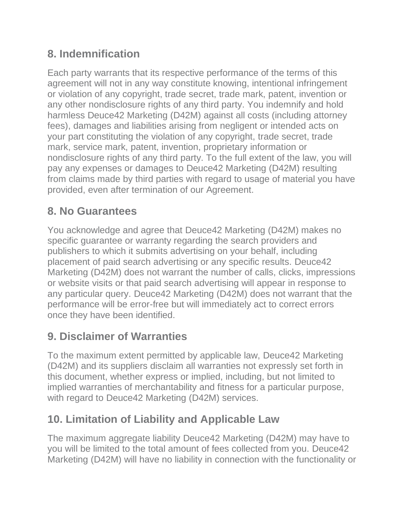#### **8. Indemnification**

Each party warrants that its respective performance of the terms of this agreement will not in any way constitute knowing, intentional infringement or violation of any copyright, trade secret, trade mark, patent, invention or any other nondisclosure rights of any third party. You indemnify and hold harmless Deuce42 Marketing (D42M) against all costs (including attorney fees), damages and liabilities arising from negligent or intended acts on your part constituting the violation of any copyright, trade secret, trade mark, service mark, patent, invention, proprietary information or nondisclosure rights of any third party. To the full extent of the law, you will pay any expenses or damages to Deuce42 Marketing (D42M) resulting from claims made by third parties with regard to usage of material you have provided, even after termination of our Agreement.

#### **8. No Guarantees**

You acknowledge and agree that Deuce42 Marketing (D42M) makes no specific guarantee or warranty regarding the search providers and publishers to which it submits advertising on your behalf, including placement of paid search advertising or any specific results. Deuce42 Marketing (D42M) does not warrant the number of calls, clicks, impressions or website visits or that paid search advertising will appear in response to any particular query. Deuce42 Marketing (D42M) does not warrant that the performance will be error-free but will immediately act to correct errors once they have been identified.

## **9. Disclaimer of Warranties**

To the maximum extent permitted by applicable law, Deuce42 Marketing (D42M) and its suppliers disclaim all warranties not expressly set forth in this document, whether express or implied, including, but not limited to implied warranties of merchantability and fitness for a particular purpose, with regard to Deuce42 Marketing (D42M) services.

# **10. Limitation of Liability and Applicable Law**

The maximum aggregate liability Deuce42 Marketing (D42M) may have to you will be limited to the total amount of fees collected from you. Deuce42 Marketing (D42M) will have no liability in connection with the functionality or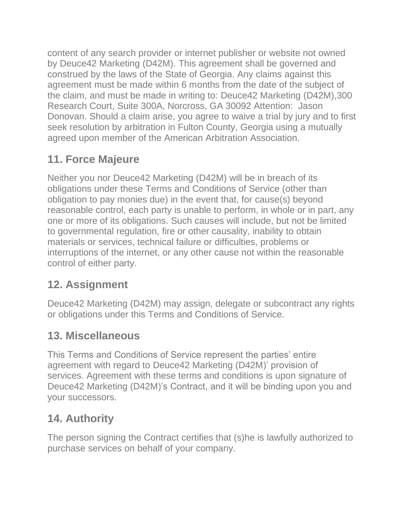content of any search provider or internet publisher or website not owned by Deuce42 Marketing (D42M). This agreement shall be governed and construed by the laws of the State of Georgia. Any claims against this agreement must be made within 6 months from the date of the subject of the claim, and must be made in writing to: Deuce42 Marketing (D42M),300 Research Court, Suite 300A, Norcross, GA 30092 Attention: Jason Donovan. Should a claim arise, you agree to waive a trial by jury and to first seek resolution by arbitration in Fulton County, Georgia using a mutually agreed upon member of the American Arbitration Association.

## **11. Force Majeure**

Neither you nor Deuce42 Marketing (D42M) will be in breach of its obligations under these Terms and Conditions of Service (other than obligation to pay monies due) in the event that, for cause(s) beyond reasonable control, each party is unable to perform, in whole or in part, any one or more of its obligations. Such causes will include, but not be limited to governmental regulation, fire or other causality, inability to obtain materials or services, technical failure or difficulties, problems or interruptions of the internet, or any other cause not within the reasonable control of either party.

## **12. Assignment**

Deuce42 Marketing (D42M) may assign, delegate or subcontract any rights or obligations under this Terms and Conditions of Service.

#### **13. Miscellaneous**

This Terms and Conditions of Service represent the parties' entire agreement with regard to Deuce42 Marketing (D42M)' provision of services. Agreement with these terms and conditions is upon signature of Deuce42 Marketing (D42M)'s Contract, and it will be binding upon you and your successors.

#### **14. Authority**

The person signing the Contract certifies that (s)he is lawfully authorized to purchase services on behalf of your company.